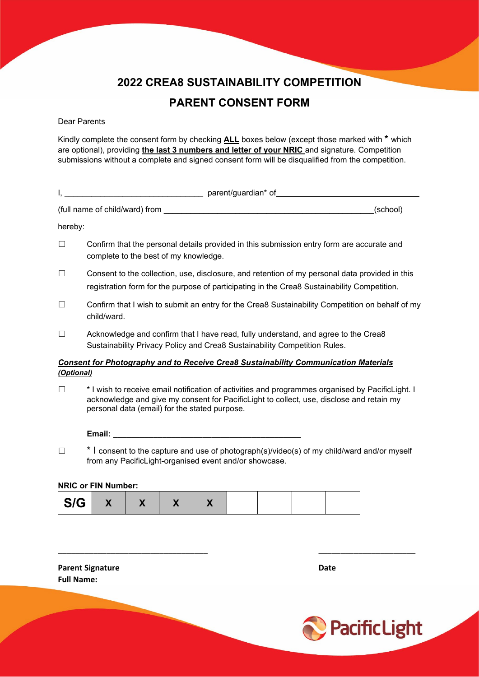### **2022 CREA8 SUSTAINABILITY COMPETITION PARENT CONSENT FORM**

#### Dear Parents

Kindly complete the consent form by checking **ALL** boxes below (except those marked with **\*** which are optional), providing **the last 3 numbers and letter of your NRIC** and signature. Competition submissions without a complete and signed consent form will be disqualified from the competition.

|         | parent/guardian* of_                                                                                                                                                                          |
|---------|-----------------------------------------------------------------------------------------------------------------------------------------------------------------------------------------------|
|         | (full name of child/ward) from<br>(school)                                                                                                                                                    |
| hereby: |                                                                                                                                                                                               |
| $\Box$  | Confirm that the personal details provided in this submission entry form are accurate and<br>complete to the best of my knowledge.                                                            |
| $\Box$  | Consent to the collection, use, disclosure, and retention of my personal data provided in this<br>registration form for the purpose of participating in the Crea8 Sustainability Competition. |

- ☐ Confirm that I wish to submit an entry for the Crea8 Sustainability Competition on behalf of my child/ward.
- ☐ Acknowledge and confirm that I have read, fully understand, and agree to the Crea8 Sustainability Privacy Policy and Crea8 Sustainability Competition Rules.

#### *Consent for Photography and to Receive Crea8 Sustainability Communication Materials (Optional)*

☐ \* I wish to receive email notification of activities and programmes organised by PacificLight. I acknowledge and give my consent for PacificLight to collect, use, disclose and retain my personal data (email) for the stated purpose.

**Email: \_\_\_\_\_\_\_\_\_\_\_\_\_\_\_\_\_\_\_\_\_\_\_\_\_\_\_\_\_\_\_\_\_\_\_\_\_\_\_\_\_\_**

☐ \* I consent to the capture and use of photograph(s)/video(s) of my child/ward and/or myself from any PacificLight-organised event and/or showcase.

\_\_\_\_\_\_\_\_\_\_\_\_\_\_\_\_\_\_\_\_\_\_\_\_\_\_\_\_\_\_\_\_\_\_ \_\_\_\_\_\_\_\_\_\_\_\_\_\_\_\_\_\_\_\_\_\_

#### **NRIC or FIN Number:**

| S/G<br>$\mathbf{v}$<br>$\boldsymbol{\Lambda}$ |  |  |
|-----------------------------------------------|--|--|
|-----------------------------------------------|--|--|

**Parent Signature Date Full Name:**

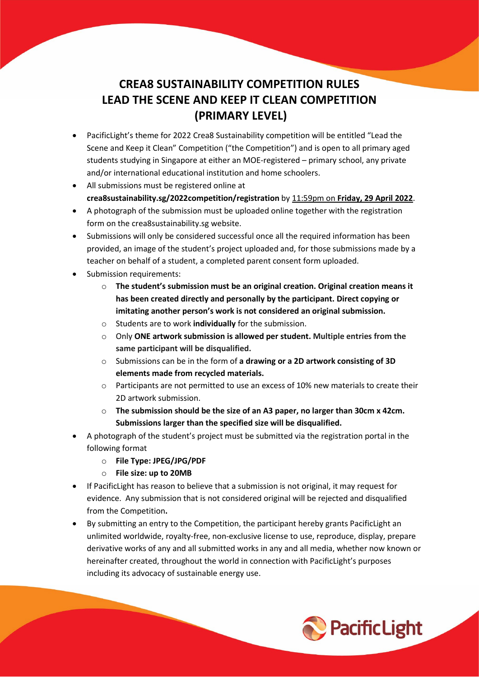#### **CREA8 SUSTAINABILITY COMPETITION RULES LEAD THE SCENE AND KEEP IT CLEAN COMPETITION (PRIMARY LEVEL)**

- PacificLight's theme for 2022 Crea8 Sustainability competition will be entitled "Lead the Scene and Keep it Clean" Competition ("the Competition") and is open to all primary aged students studying in Singapore at either an MOE-registered – primary school, any private and/or international educational institution and home schoolers.
- All submissions must be registered online at **crea8sustainability.sg/2022competition/registration** by 11:59pm on **Friday, 29 April 2022**.
- A photograph of the submission must be uploaded online together with the registration form on the crea8sustainability.sg website.
- Submissions will only be considered successful once all the required information has been provided, an image of the student's project uploaded and, for those submissions made by a teacher on behalf of a student, a completed parent consent form uploaded.
- Submission requirements:
	- o **The student's submission must be an original creation. Original creation means it has been created directly and personally by the participant. Direct copying or imitating another person's work is not considered an original submission.**
	- o Students are to work **individually** for the submission.
	- o Only **ONE artwork submission is allowed per student. Multiple entries from the same participant will be disqualified.**
	- o Submissions can be in the form of **a drawing or a 2D artwork consisting of 3D elements made from recycled materials.**
	- o Participants are not permitted to use an excess of 10% new materials to create their 2D artwork submission.
	- o **The submission should be the size of an A3 paper, no larger than 30cm x 42cm. Submissions larger than the specified size will be disqualified.**
- A photograph of the student's project must be submitted via the registration portal in the following format
	- o **File Type: JPEG/JPG/PDF**
	- o **File size: up to 20MB**
- If PacificLight has reason to believe that a submission is not original, it may request for evidence. Any submission that is not considered original will be rejected and disqualified from the Competition**.**
- By submitting an entry to the Competition, the participant hereby grants PacificLight an unlimited worldwide, royalty-free, non-exclusive license to use, reproduce, display, prepare derivative works of any and all submitted works in any and all media, whether now known or hereinafter created, throughout the world in connection with PacificLight's purposes including its advocacy of sustainable energy use.

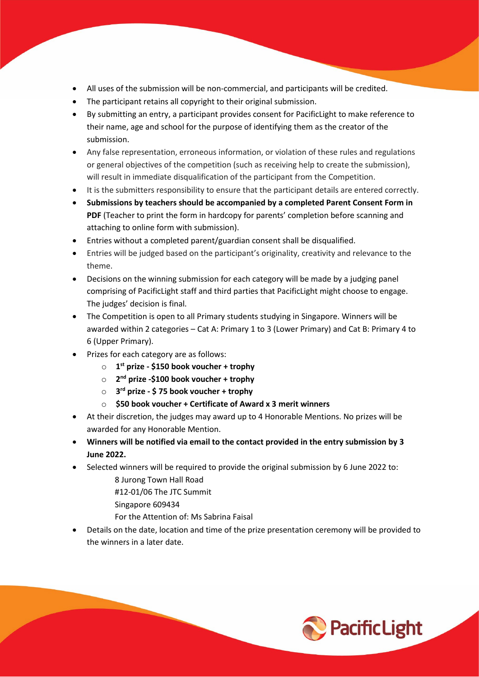- All uses of the submission will be non-commercial, and participants will be credited.
- The participant retains all copyright to their original submission.
- By submitting an entry, a participant provides consent for PacificLight to make reference to their name, age and school for the purpose of identifying them as the creator of the submission.
- Any false representation, erroneous information, or violation of these rules and regulations or general objectives of the competition (such as receiving help to create the submission), will result in immediate disqualification of the participant from the Competition.
- It is the submitters responsibility to ensure that the participant details are entered correctly.
- **Submissions by teachers should be accompanied by a completed Parent Consent Form in**  PDF (Teacher to print the form in hardcopy for parents' completion before scanning and attaching to online form with submission).
- Entries without a completed parent/guardian consent shall be disqualified.
- Entries will be judged based on the participant's originality, creativity and relevance to the theme.
- Decisions on the winning submission for each category will be made by a judging panel comprising of PacificLight staff and third parties that PacificLight might choose to engage. The judges' decision is final.
- The Competition is open to all Primary students studying in Singapore. Winners will be awarded within 2 categories – Cat A: Primary 1 to 3 (Lower Primary) and Cat B: Primary 4 to 6 (Upper Primary).
- Prizes for each category are as follows:
	- o **1st prize - \$150 book voucher + trophy**
	- o **2nd prize -\$100 book voucher + trophy**
	- o **3rd prize - \$ 75 book voucher + trophy**
	- o **\$50 book voucher + Certificate of Award x 3 merit winners**
- At their discretion, the judges may award up to 4 Honorable Mentions. No prizes will be awarded for any Honorable Mention.
- **Winners will be notified via email to the contact provided in the entry submission by 3 June 2022.**
- Selected winners will be required to provide the original submission by 6 June 2022 to:
	- 8 Jurong Town Hall Road
	- #12-01/06 The JTC Summit
	- Singapore 609434
	- For the Attention of: Ms Sabrina Faisal
- Details on the date, location and time of the prize presentation ceremony will be provided to the winners in a later date.

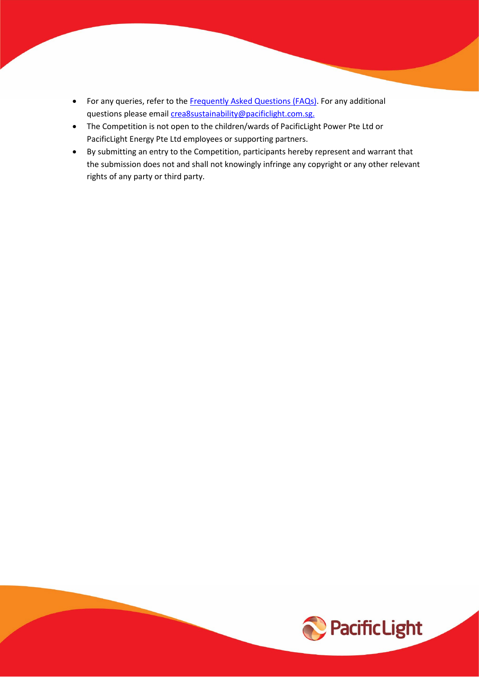- For any queries, refer to the [Frequently Asked Questions](https://www.pacificlight.com.sg/2017ArtCompetition/faq.aspx) (FAQs). For any additional questions please email [crea8sustainability@pacificlight.com.sg.](mailto:crea8sustainability@pacificlight.com.sg)
- The Competition is not open to the children/wards of PacificLight Power Pte Ltd or PacificLight Energy Pte Ltd employees or supporting partners.
- By submitting an entry to the Competition, participants hereby represent and warrant that the submission does not and shall not knowingly infringe any copyright or any other relevant rights of any party or third party.

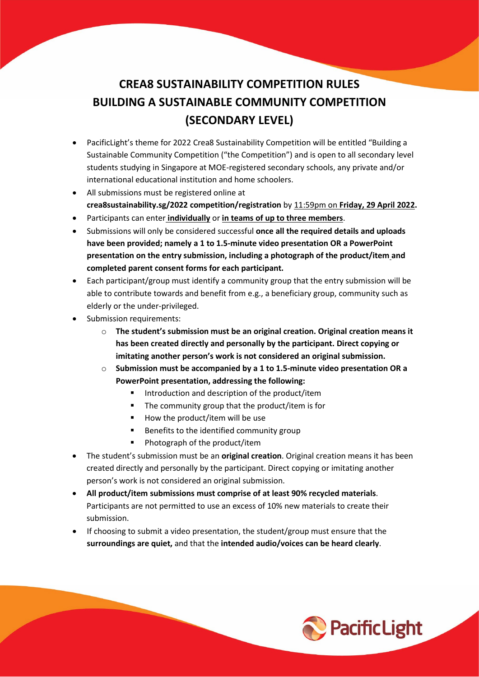## **CREA8 SUSTAINABILITY COMPETITION RULES BUILDING A SUSTAINABLE COMMUNITY COMPETITION (SECONDARY LEVEL)**

- PacificLight's theme for 2022 Crea8 Sustainability Competition will be entitled "Building a Sustainable Community Competition ("the Competition") and is open to all secondary level students studying in Singapore at MOE-registered secondary schools, any private and/or international educational institution and home schoolers.
- All submissions must be registered online at **crea8sustainability.sg/2022 competition/registration** by 11:59pm on **Friday, 29 April 2022.**
- Participants can enter **individually** or **in teams of up to three members**.
- Submissions will only be considered successful **once all the required details and uploads have been provided; namely a 1 to 1.5-minute video presentation OR a PowerPoint presentation on the entry submission, including a photograph of the product/item and completed parent consent forms for each participant.**
- Each participant/group must identify a community group that the entry submission will be able to contribute towards and benefit from e.g., a beneficiary group, community such as elderly or the under-privileged.
- Submission requirements:
	- o **The student's submission must be an original creation. Original creation means it has been created directly and personally by the participant. Direct copying or imitating another person's work is not considered an original submission.**
	- o **Submission must be accompanied by a 1 to 1.5-minute video presentation OR a PowerPoint presentation, addressing the following:**
		- Introduction and description of the product/item
		- The community group that the product/item is for
		- How the product/item will be use
		- Benefits to the identified community group
		- **Photograph of the product/item**
- The student's submission must be an **original creation**. Original creation means it has been created directly and personally by the participant. Direct copying or imitating another person's work is not considered an original submission.
- **All product/item submissions must comprise of at least 90% recycled materials**. Participants are not permitted to use an excess of 10% new materials to create their submission.
- If choosing to submit a video presentation, the student/group must ensure that the **surroundings are quiet,** and that the **intended audio/voices can be heard clearly**.

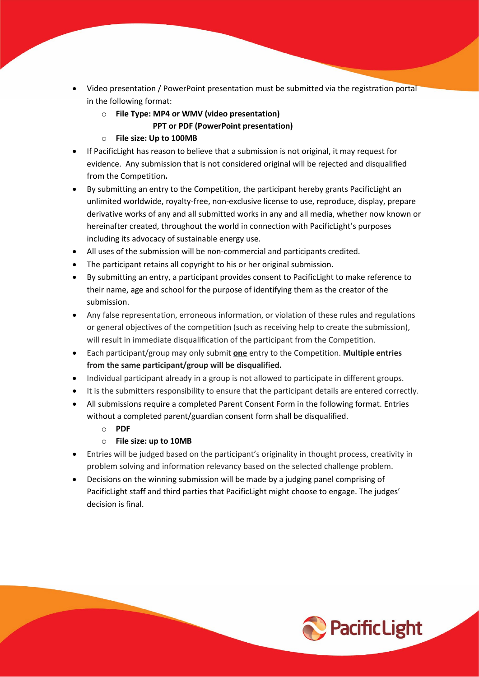- Video presentation / PowerPoint presentation must be submitted via the registration portal in the following format:
	- o **File Type: MP4 or WMV (video presentation)**
		- **PPT or PDF (PowerPoint presentation)**
	- o **File size: Up to 100MB**
- If PacificLight has reason to believe that a submission is not original, it may request for evidence. Any submission that is not considered original will be rejected and disqualified from the Competition**.**
- By submitting an entry to the Competition, the participant hereby grants PacificLight an unlimited worldwide, royalty-free, non-exclusive license to use, reproduce, display, prepare derivative works of any and all submitted works in any and all media, whether now known or hereinafter created, throughout the world in connection with PacificLight's purposes including its advocacy of sustainable energy use.
- All uses of the submission will be non-commercial and participants credited.
- The participant retains all copyright to his or her original submission.
- By submitting an entry, a participant provides consent to PacificLight to make reference to their name, age and school for the purpose of identifying them as the creator of the submission.
- Any false representation, erroneous information, or violation of these rules and regulations or general objectives of the competition (such as receiving help to create the submission), will result in immediate disqualification of the participant from the Competition.
- Each participant/group may only submit **one** entry to the Competition. **Multiple entries from the same participant/group will be disqualified.**
- Individual participant already in a group is not allowed to participate in different groups.
- It is the submitters responsibility to ensure that the participant details are entered correctly.
- All submissions require a completed Parent Consent Form in the following format. Entries without a completed parent/guardian consent form shall be disqualified.
	- o **PDF**
	- o **File size: up to 10MB**
- Entries will be judged based on the participant's originality in thought process, creativity in problem solving and information relevancy based on the selected challenge problem.
- Decisions on the winning submission will be made by a judging panel comprising of PacificLight staff and third parties that PacificLight might choose to engage. The judges' decision is final.

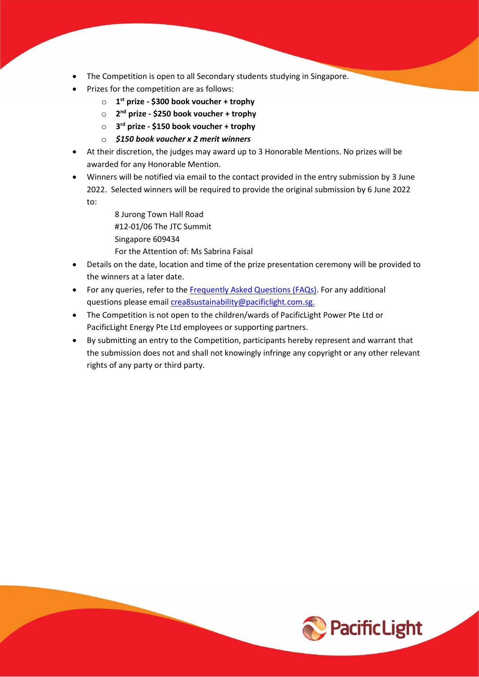- The Competition is open to all Secondary students studying in Singapore.
- Prizes for the competition are as follows:
	- o **1st prize - \$300 book voucher + trophy**
	- o **2nd prize - \$250 book voucher + trophy**
	- o **3rd prize - \$150 book voucher + trophy**
	- o *\$150 book voucher x 2 merit winners*
- At their discretion, the judges may award up to 3 Honorable Mentions. No prizes will be awarded for any Honorable Mention.
- Winners will be notified via email to the contact provided in the entry submission by 3 June 2022. Selected winners will be required to provide the original submission by 6 June 2022 to:

8 Jurong Town Hall Road #12-01/06 The JTC Summit Singapore 609434

For the Attention of: Ms Sabrina Faisal

- Details on the date, location and time of the prize presentation ceremony will be provided to the winners at a later date.
- For any queries, refer to the [Frequently Asked Questions \(FAQs\).](https://www.pacificlight.com.sg/2017ArtCompetition/faq.aspx) For any additional questions please email [crea8sustainability@pacificlight.com.sg.](mailto:crea8sustainability@pacificlight.com.sg)
- The Competition is not open to the children/wards of PacificLight Power Pte Ltd or PacificLight Energy Pte Ltd employees or supporting partners.
- By submitting an entry to the Competition, participants hereby represent and warrant that the submission does not and shall not knowingly infringe any copyright or any other relevant rights of any party or third party.

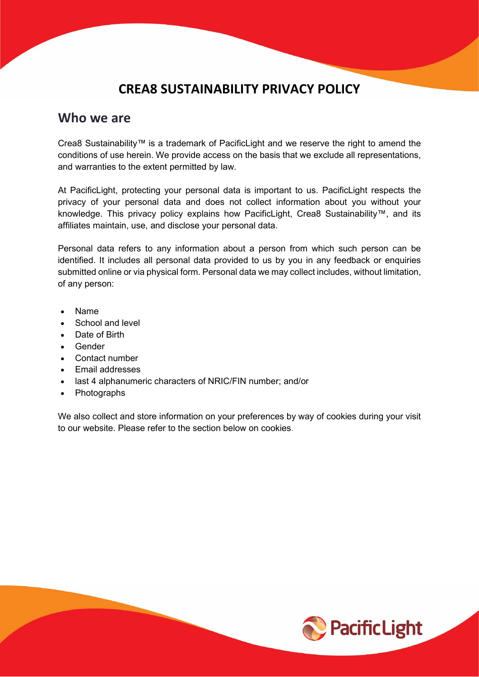#### **CREA8 SUSTAINABILITY PRIVACY POLICY**

#### **Who we are**

Crea8 Sustainability™ is a trademark of PacificLight and we reserve the right to amend the conditions of use herein. We provide access on the basis that we exclude all representations, and warranties to the extent permitted by law.

At PacificLight, protecting your personal data is important to us. PacificLight respects the privacy of your personal data and does not collect information about you without your knowledge. This privacy policy explains how PacificLight, Crea8 Sustainability™, and its affiliates maintain, use, and disclose your personal data.

Personal data refers to any information about a person from which such person can be identified. It includes all personal data provided to us by you in any feedback or enquiries submitted online or via physical form. Personal data we may collect includes, without limitation, of any person:

- Name
- School and level
- Date of Birth
- Gender
- Contact number
- Email addresses
- last 4 alphanumeric characters of NRIC/FIN number; and/or
- Photographs

We also collect and store information on your preferences by way of cookies during your visit to our website. Please refer to the section below on cookies.

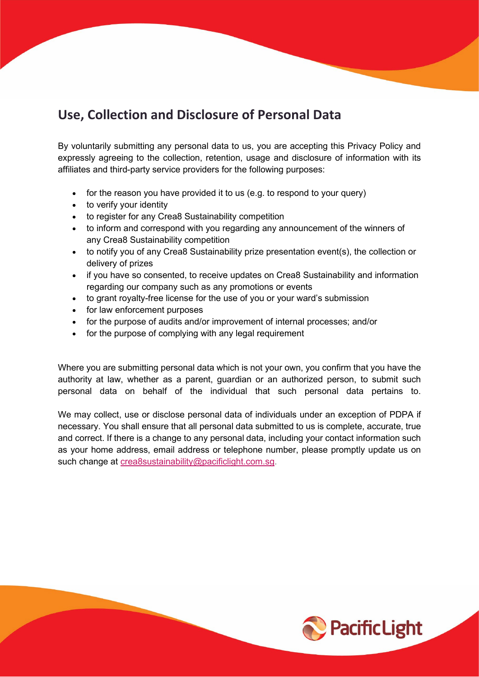### **Use, Collection and Disclosure of Personal Data**

By voluntarily submitting any personal data to us, you are accepting this Privacy Policy and expressly agreeing to the collection, retention, usage and disclosure of information with its affiliates and third-party service providers for the following purposes:

- for the reason you have provided it to us (e.g. to respond to your query)
- to verify your identity
- to register for any Crea8 Sustainability competition
- to inform and correspond with you regarding any announcement of the winners of any Crea8 Sustainability competition
- to notify you of any Crea8 Sustainability prize presentation event(s), the collection or delivery of prizes
- if you have so consented, to receive updates on Crea8 Sustainability and information regarding our company such as any promotions or events
- to grant royalty-free license for the use of you or your ward's submission
- for law enforcement purposes
- for the purpose of audits and/or improvement of internal processes; and/or
- for the purpose of complying with any legal requirement

Where you are submitting personal data which is not your own, you confirm that you have the authority at law, whether as a parent, guardian or an authorized person, to submit such personal data on behalf of the individual that such personal data pertains to.

We may collect, use or disclose personal data of individuals under an exception of PDPA if necessary. You shall ensure that all personal data submitted to us is complete, accurate, true and correct. If there is a change to any personal data, including your contact information such as your home address, email address or telephone number, please promptly update us on such change at [crea8sustainability@pacificlight.com.sg.](mailto:crea8sustainability@pacificlight.com.sg)

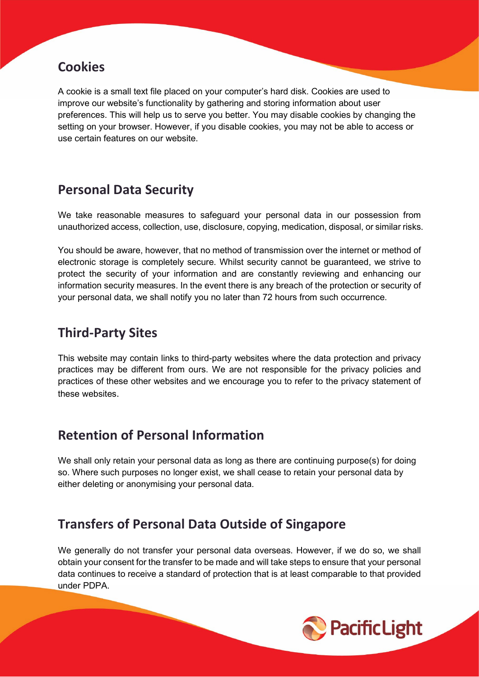#### **Cookies**

A cookie is a small text file placed on your computer's hard disk. Cookies are used to improve our website's functionality by gathering and storing information about user preferences. This will help us to serve you better. You may disable cookies by changing the setting on your browser. However, if you disable cookies, you may not be able to access or use certain features on our website.

#### **Personal Data Security**

We take reasonable measures to safeguard your personal data in our possession from unauthorized access, collection, use, disclosure, copying, medication, disposal, or similar risks.

You should be aware, however, that no method of transmission over the internet or method of electronic storage is completely secure. Whilst security cannot be guaranteed, we strive to protect the security of your information and are constantly reviewing and enhancing our information security measures. In the event there is any breach of the protection or security of your personal data, we shall notify you no later than 72 hours from such occurrence.

#### **Third-Party Sites**

This website may contain links to third-party websites where the data protection and privacy practices may be different from ours. We are not responsible for the privacy policies and practices of these other websites and we encourage you to refer to the privacy statement of these websites.

### **Retention of Personal Information**

We shall only retain your personal data as long as there are continuing purpose(s) for doing so. Where such purposes no longer exist, we shall cease to retain your personal data by either deleting or anonymising your personal data.

### **Transfers of Personal Data Outside of Singapore**

We generally do not transfer your personal data overseas. However, if we do so, we shall obtain your consent for the transfer to be made and will take steps to ensure that your personal data continues to receive a standard of protection that is at least comparable to that provided under PDPA.